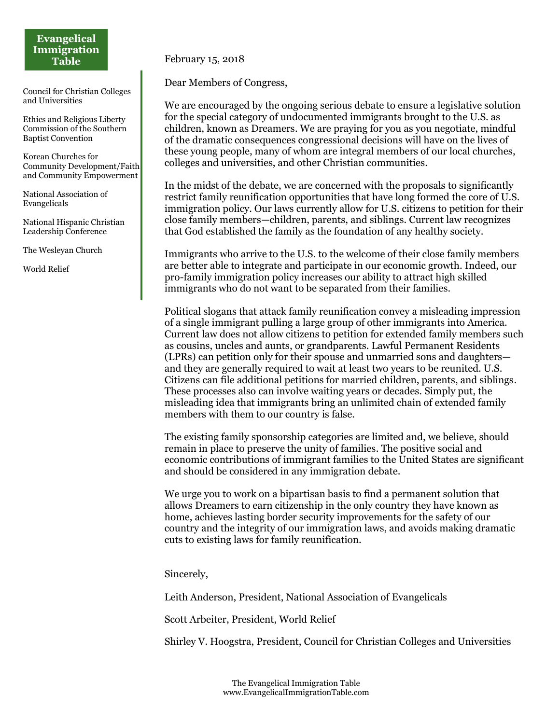## **Evangelical Immigration Table**

Council for Christian Colleges and Universities

Ethics and Religious Liberty Commission of the Southern Baptist Convention

Korean Churches for Community Development/Faith and Community Empowerment

National Association of Evangelicals

National Hispanic Christian Leadership Conference

The Wesleyan Church

World Relief

February 15, 2018

Dear Members of Congress,

We are encouraged by the ongoing serious debate to ensure a legislative solution for the special category of undocumented immigrants brought to the U.S. as children, known as Dreamers. We are praying for you as you negotiate, mindful of the dramatic consequences congressional decisions will have on the lives of these young people, many of whom are integral members of our local churches, colleges and universities, and other Christian communities.

In the midst of the debate, we are concerned with the proposals to significantly restrict family reunification opportunities that have long formed the core of U.S. immigration policy. Our laws currently allow for U.S. citizens to petition for their close family members—children, parents, and siblings. Current law recognizes that God established the family as the foundation of any healthy society.

Immigrants who arrive to the U.S. to the welcome of their close family members are better able to integrate and participate in our economic growth. Indeed, our pro-family immigration policy increases our ability to attract high skilled immigrants who do not want to be separated from their families.

Political slogans that attack family reunification convey a misleading impression of a single immigrant pulling a large group of other immigrants into America. Current law does not allow citizens to petition for extended family members such as cousins, uncles and aunts, or grandparents. Lawful Permanent Residents (LPRs) can petition only for their spouse and unmarried sons and daughters and they are generally required to wait at least two years to be reunited. U.S. Citizens can file additional petitions for married children, parents, and siblings. These processes also can involve waiting years or decades. Simply put, the misleading idea that immigrants bring an unlimited chain of extended family members with them to our country is false.

The existing family sponsorship categories are limited and, we believe, should remain in place to preserve the unity of families. The positive social and economic contributions of immigrant families to the United States are significant and should be considered in any immigration debate.

We urge you to work on a bipartisan basis to find a permanent solution that allows Dreamers to earn citizenship in the only country they have known as home, achieves lasting border security improvements for the safety of our country and the integrity of our immigration laws, and avoids making dramatic cuts to existing laws for family reunification.

Sincerely,

Leith Anderson, President, National Association of Evangelicals

Scott Arbeiter, President, World Relief

Shirley V. Hoogstra, President, Council for Christian Colleges and Universities